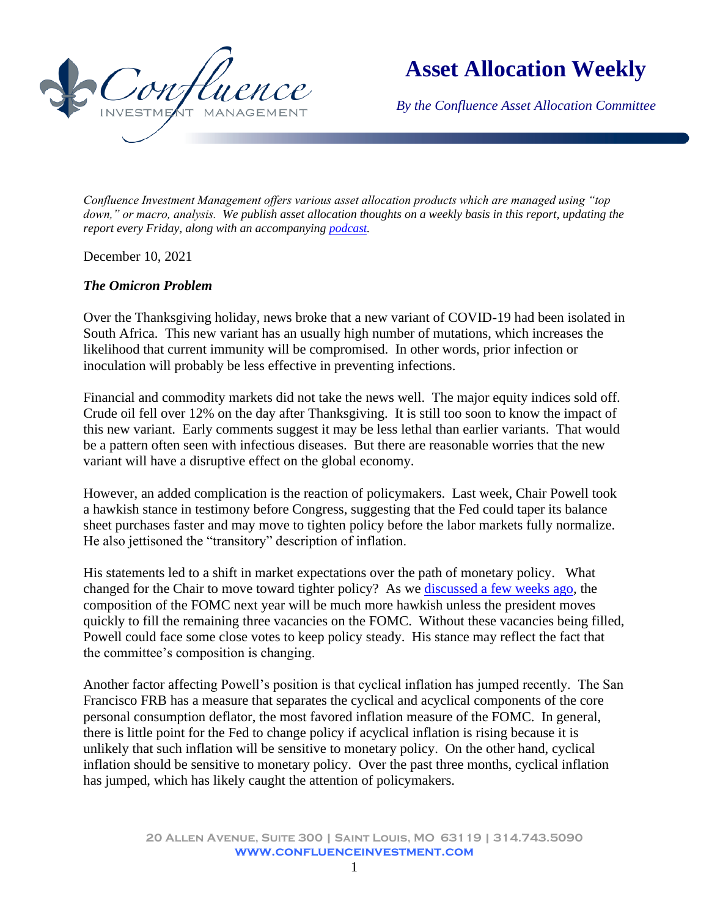

**Asset Allocation Weekly**

*By the Confluence Asset Allocation Committee*

*Confluence Investment Management offers various asset allocation products which are managed using "top down," or macro, analysis. We publish asset allocation thoughts on a weekly basis in this report, updating the report every Friday, along with an accompanying [podcast.](https://www.confluenceinvestment.com/category/podcasts/asset-allocation-weekly-podcast/)*

December 10, 2021

## *The Omicron Problem*

Over the Thanksgiving holiday, news broke that a new variant of COVID-19 had been isolated in South Africa. This new variant has an usually high number of mutations, which increases the likelihood that current immunity will be compromised. In other words, prior infection or inoculation will probably be less effective in preventing infections.

Financial and commodity markets did not take the news well. The major equity indices sold off. Crude oil fell over 12% on the day after Thanksgiving. It is still too soon to know the impact of this new variant. Early comments suggest it may be less lethal than earlier variants. That would be a pattern often seen with infectious diseases. But there are reasonable worries that the new variant will have a disruptive effect on the global economy.

However, an added complication is the reaction of policymakers. Last week, Chair Powell took a hawkish stance in testimony before Congress, suggesting that the Fed could taper its balance sheet purchases faster and may move to tighten policy before the labor markets fully normalize. He also jettisoned the "transitory" description of inflation.

His statements led to a shift in market expectations over the path of monetary policy. What changed for the Chair to move toward tighter policy? As we [discussed a few weeks ago,](chrome-extension://efaidnbmnnnibpcajpcglclefindmkaj/viewer.html?pdfurl=https%3A%2F%2Fwww.confluenceinvestment.com%2Fwp-content%2Fuploads%2FAAW_Nov_19_2021.pdf&clen=250937&chunk=true) the composition of the FOMC next year will be much more hawkish unless the president moves quickly to fill the remaining three vacancies on the FOMC. Without these vacancies being filled, Powell could face some close votes to keep policy steady. His stance may reflect the fact that the committee's composition is changing.

Another factor affecting Powell's position is that cyclical inflation has jumped recently. The San Francisco FRB has a measure that separates the cyclical and acyclical components of the core personal consumption deflator, the most favored inflation measure of the FOMC. In general, there is little point for the Fed to change policy if acyclical inflation is rising because it is unlikely that such inflation will be sensitive to monetary policy. On the other hand, cyclical inflation should be sensitive to monetary policy. Over the past three months, cyclical inflation has jumped, which has likely caught the attention of policymakers.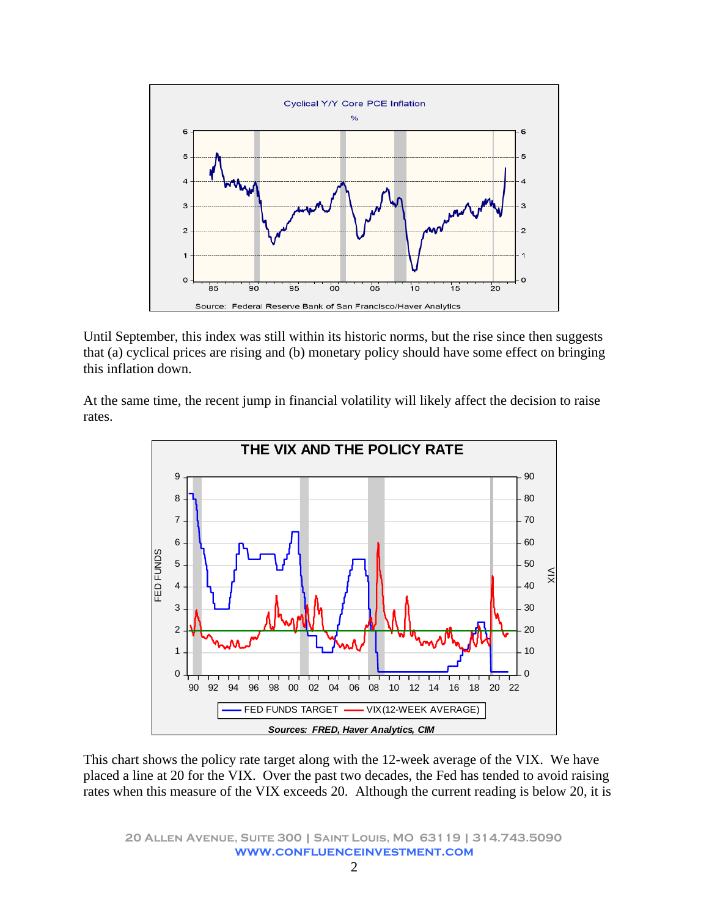

Until September, this index was still within its historic norms, but the rise since then suggests that (a) cyclical prices are rising and (b) monetary policy should have some effect on bringing this inflation down.

At the same time, the recent jump in financial volatility will likely affect the decision to raise rates.



This chart shows the policy rate target along with the 12-week average of the VIX. We have placed a line at 20 for the VIX. Over the past two decades, the Fed has tended to avoid raising rates when this measure of the VIX exceeds 20. Although the current reading is below 20, it is

**20 Allen Avenue, Suite 300 | Saint Louis, MO 63119 | 314.743.5090 www.confluenceinvestment.com**